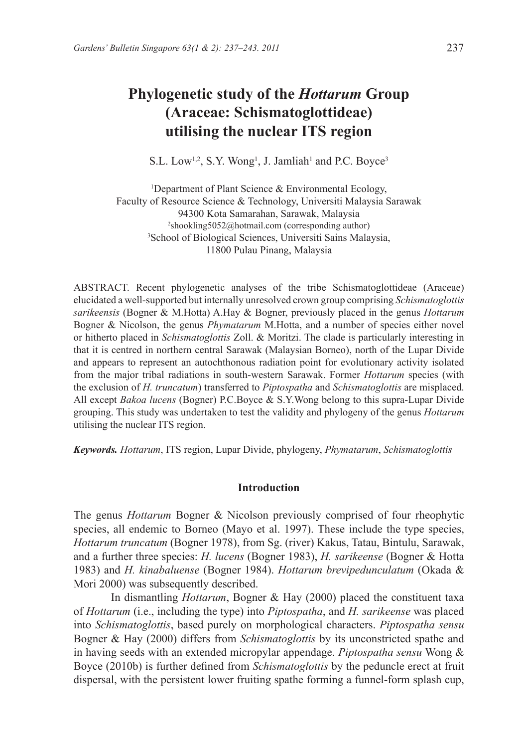# **Phylogenetic study of the** *Hottarum* **Group (Araceae: Schismatoglottideae) utilising the nuclear ITS region**

S.L. Low<sup>1,2</sup>, S.Y. Wong<sup>1</sup>, J. Jamliah<sup>1</sup> and P.C. Boyce<sup>3</sup>

<sup>1</sup>Department of Plant Science & Environmental Ecology, Faculty of Resource Science & Technology, Universiti Malaysia Sarawak 94300 Kota Samarahan, Sarawak, Malaysia 2 shookling5052@hotmail.com (corresponding author) 3 School of Biological Sciences, Universiti Sains Malaysia, 11800 Pulau Pinang, Malaysia

ABSTRACT. Recent phylogenetic analyses of the tribe Schismatoglottideae (Araceae) elucidated a well-supported but internally unresolved crown group comprising *Schismatoglottis sarikeensis* (Bogner & M.Hotta) A.Hay & Bogner, previously placed in the genus *Hottarum* Bogner & Nicolson, the genus *Phymatarum* M.Hotta, and a number of species either novel or hitherto placed in *Schismatoglottis* Zoll. & Moritzi. The clade is particularly interesting in that it is centred in northern central Sarawak (Malaysian Borneo), north of the Lupar Divide and appears to represent an autochthonous radiation point for evolutionary activity isolated from the major tribal radiations in south-western Sarawak. Former *Hottarum* species (with the exclusion of *H. truncatum*) transferred to *Piptospatha* and *Schismatoglottis* are misplaced. All except *Bakoa lucens* (Bogner) P.C.Boyce & S.Y.Wong belong to this supra-Lupar Divide grouping. This study was undertaken to test the validity and phylogeny of the genus *Hottarum* utilising the nuclear ITS region.

*Keywords. Hottarum*, ITS region, Lupar Divide, phylogeny, *Phymatarum*, *Schismatoglottis*

# **Introduction**

The genus *Hottarum* Bogner & Nicolson previously comprised of four rheophytic species, all endemic to Borneo (Mayo et al. 1997). These include the type species, *Hottarum truncatum* (Bogner 1978), from Sg. (river) Kakus, Tatau, Bintulu, Sarawak, and a further three species: *H. lucens* (Bogner 1983), *H. sarikeense* (Bogner & Hotta 1983) and *H. kinabaluense* (Bogner 1984). *Hottarum brevipedunculatum* (Okada & Mori 2000) was subsequently described.

In dismantling *Hottarum*, Bogner & Hay (2000) placed the constituent taxa of *Hottarum* (i.e., including the type) into *Piptospatha*, and *H. sarikeense* was placed into *Schismatoglottis*, based purely on morphological characters. *Piptospatha sensu* Bogner & Hay (2000) differs from *Schismatoglottis* by its unconstricted spathe and in having seeds with an extended micropylar appendage. *Piptospatha sensu* Wong & Boyce (2010b) is further defined from *Schismatoglottis* by the peduncle erect at fruit dispersal, with the persistent lower fruiting spathe forming a funnel-form splash cup,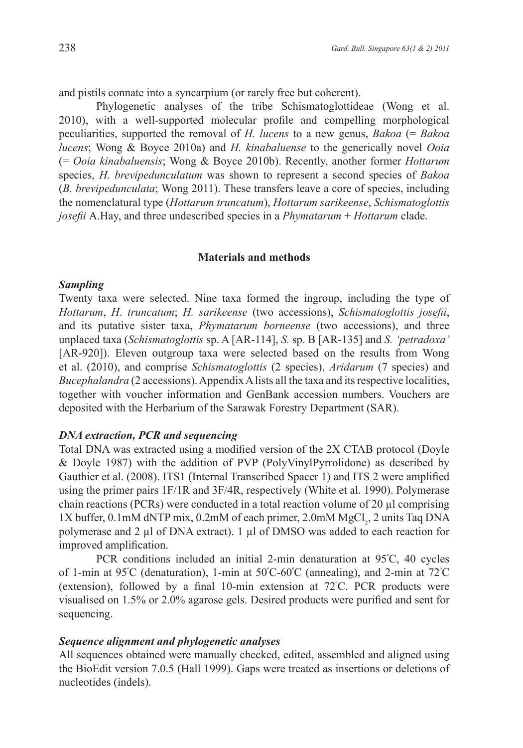and pistils connate into a syncarpium (or rarely free but coherent).

Phylogenetic analyses of the tribe Schismatoglottideae (Wong et al. 2010), with a well-supported molecular profile and compelling morphological peculiarities, supported the removal of *H. lucens* to a new genus, *Bakoa* (= *Bakoa lucens*; Wong & Boyce 2010a) and *H. kinabaluense* to the generically novel *Ooia*  (= *Ooia kinabaluensis*; Wong & Boyce 2010b). Recently, another former *Hottarum*  species, *H. brevipedunculatum* was shown to represent a second species of *Bakoa* (*B. brevipedunculata*; Wong 2011). These transfers leave a core of species, including the nomenclatural type (*Hottarum truncatum*), *Hottarum sarikeense*, *Schismatoglottis josefii* A.Hay, and three undescribed species in a *Phymatarum* + *Hottarum* clade.

#### **Materials and methods**

# *Sampling*

Twenty taxa were selected. Nine taxa formed the ingroup, including the type of *Hottarum*, *H*. *truncatum*; *H. sarikeense* (two accessions), *Schismatoglottis josefii*, and its putative sister taxa, *Phymatarum borneense* (two accessions), and three unplaced taxa (*Schismatoglottis* sp. A [AR-114], *S.* sp. B [AR-135] and *S. 'petradoxa'* [AR-920]). Eleven outgroup taxa were selected based on the results from Wong et al. (2010), and comprise *Schismatoglottis* (2 species), *Aridarum* (7 species) and *Bucephalandra* (2 accessions). Appendix A lists all the taxa and its respective localities, together with voucher information and GenBank accession numbers. Vouchers are deposited with the Herbarium of the Sarawak Forestry Department (SAR).

# *DNA extraction, PCR and sequencing*

Total DNA was extracted using a modified version of the 2X CTAB protocol (Doyle & Doyle 1987) with the addition of PVP (PolyVinylPyrrolidone) as described by Gauthier et al. (2008). ITS1 (Internal Transcribed Spacer 1) and ITS 2 were amplified using the primer pairs 1F/1R and 3F/4R, respectively (White et al. 1990). Polymerase chain reactions (PCRs) were conducted in a total reaction volume of 20 µl comprising  $1X$  buffer,  $0.1$ mM dNTP mix,  $0.2$ mM of each primer,  $2.0$ mM  $MgCl<sub>2</sub>$ ,  $2$  units Taq DNA polymerase and 2 µl of DNA extract). 1 µl of DMSO was added to each reaction for improved amplification.

PCR conditions included an initial 2-min denaturation at 95º C, 40 cycles of 1-min at 95º C (denaturation), 1-min at 50º C-60º C (annealing), and 2-min at 72º C (extension), followed by a final 10-min extension at 72<sup>º</sup> C. PCR products were visualised on 1.5% or 2.0% agarose gels. Desired products were purified and sent for sequencing.

# *Sequence alignment and phylogenetic analyses*

All sequences obtained were manually checked, edited, assembled and aligned using the BioEdit version 7.0.5 (Hall 1999). Gaps were treated as insertions or deletions of nucleotides (indels).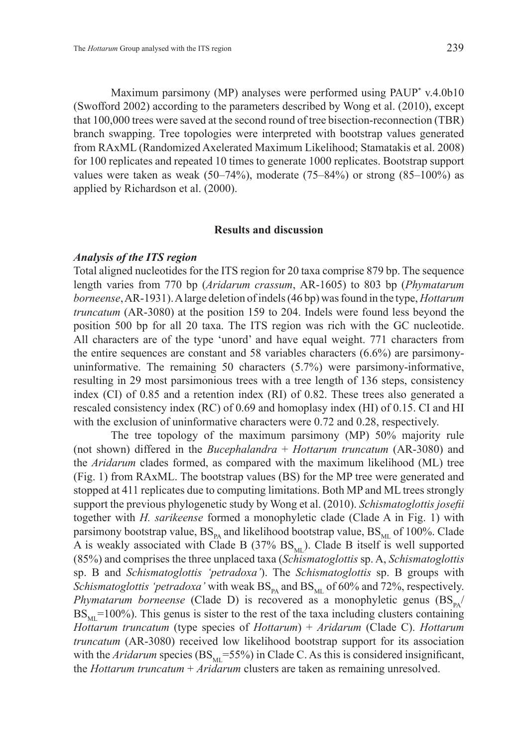Maximum parsimony (MP) analyses were performed using PAUP\* v.4.0b10 (Swofford 2002) according to the parameters described by Wong et al. (2010), except that 100,000 trees were saved at the second round of tree bisection-reconnection (TBR) branch swapping. Tree topologies were interpreted with bootstrap values generated from RAxML (Randomized Axelerated Maximum Likelihood; Stamatakis et al. 2008) for 100 replicates and repeated 10 times to generate 1000 replicates. Bootstrap support values were taken as weak  $(50-74%)$ , moderate  $(75-84%)$  or strong  $(85-100%)$  as applied by Richardson et al. (2000).

#### **Results and discussion**

# *Analysis of the ITS region*

Total aligned nucleotides for the ITS region for 20 taxa comprise 879 bp. The sequence length varies from 770 bp (*Aridarum crassum*, AR-1605) to 803 bp (*Phymatarum borneense*, AR-1931). A large deletion of indels (46 bp) was found in the type, *Hottarum truncatum* (AR-3080) at the position 159 to 204. Indels were found less beyond the position 500 bp for all 20 taxa. The ITS region was rich with the GC nucleotide. All characters are of the type 'unord' and have equal weight. 771 characters from the entire sequences are constant and 58 variables characters (6.6%) are parsimonyuninformative. The remaining 50 characters (5.7%) were parsimony-informative, resulting in 29 most parsimonious trees with a tree length of 136 steps, consistency index (CI) of 0.85 and a retention index (RI) of 0.82. These trees also generated a rescaled consistency index (RC) of 0.69 and homoplasy index (HI) of 0.15. CI and HI with the exclusion of uninformative characters were 0.72 and 0.28, respectively.

The tree topology of the maximum parsimony (MP) 50% majority rule (not shown) differed in the *Bucephalandra* + *Hottarum truncatum* (AR-3080) and the *Aridarum* clades formed, as compared with the maximum likelihood (ML) tree (Fig. 1) from RAxML. The bootstrap values (BS) for the MP tree were generated and stopped at 411 replicates due to computing limitations. Both MP and ML trees strongly support the previous phylogenetic study by Wong et al. (2010). *Schismatoglottis josefii* together with *H. sarikeense* formed a monophyletic clade (Clade A in Fig. 1) with parsimony bootstrap value,  $BS_{PA}$  and likelihood bootstrap value,  $BS_{ML}$  of 100%. Clade A is weakly associated with Clade B (37%  $BS<sub>M</sub>$ ). Clade B itself is well supported (85%) and comprises the three unplaced taxa (*Schismatoglottis* sp. A, *Schismatoglottis*  sp. B and *Schismatoglottis 'petradoxa'*). The *Schismatoglottis* sp. B groups with *Schismatoglottis 'petradoxa'* with weak  $BS_{p_A}$  and  $BS_{ML}$  of 60% and 72%, respectively. *Phymatarum borneense* (Clade D) is recovered as a monophyletic genus  $(BS_{p_A}/R)$  $BS<sub>ML</sub>=100%$ ). This genus is sister to the rest of the taxa including clusters containing *Hottarum truncatum* (type species of *Hottarum*) + *Aridarum* (Clade C). *Hottarum truncatum* (AR-3080) received low likelihood bootstrap support for its association with the *Aridarum* species ( $BS_{\text{MI}}$ =55%) in Clade C. As this is considered insignificant, the *Hottarum truncatum* + *Aridarum* clusters are taken as remaining unresolved.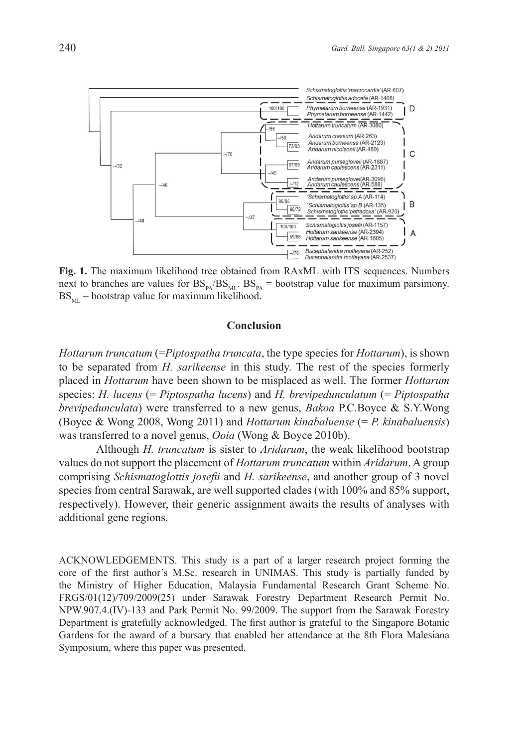

**Fig. 1.** The maximum likelihood tree obtained from RAxML with ITS sequences. Numbers next to branches are values for  $BS_{p_A}/BS_{M_L}$ .  $BS_{p_A}$  = bootstrap value for maximum parsimony.  $BS<sub>ML</sub>$  = bootstrap value for maximum likelihood.

#### **Conclusion**

*Hottarum truncatum* (=*Piptospatha truncata*, the type species for *Hottarum*), is shown to be separated from *H. sarikeense* in this study. The rest of the species formerly placed in *Hottarum* have been shown to be misplaced as well. The former *Hottarum* species: *H. lucens* (= *Piptospatha lucens*) and *H. brevipedunculatum* (= *Piptospatha brevipedunculata*) were transferred to a new genus, *Bakoa* P.C.Boyce & S.Y.Wong (Boyce & Wong 2008, Wong 2011) and *Hottarum kinabaluense* (= *P. kinabaluensis*) was transferred to a novel genus, *Ooia* (Wong & Boyce 2010b).

Although *H. truncatum* is sister to *Aridarum*, the weak likelihood bootstrap values do not support the placement of *Hottarum truncatum* within *Aridarum*. A group comprising *Schismatoglottis josefii* and *H. sarikeense*, and another group of 3 novel species from central Sarawak, are well supported clades (with 100% and 85% support, respectively). However, their generic assignment awaits the results of analyses with additional gene regions.

ACKNOWLEDGEMENTS. This study is a part of a larger research project forming the core of the first author's M.Sc. research in UNIMAS. This study is partially funded by the Ministry of Higher Education, Malaysia Fundamental Research Grant Scheme No. FRGS/01(12)/709/2009(25) under Sarawak Forestry Department Research Permit No. NPW.907.4.(IV)-133 and Park Permit No. 99/2009. The support from the Sarawak Forestry Department is gratefully acknowledged. The first author is grateful to the Singapore Botanic Gardens for the award of a bursary that enabled her attendance at the 8th Flora Malesiana Symposium, where this paper was presented.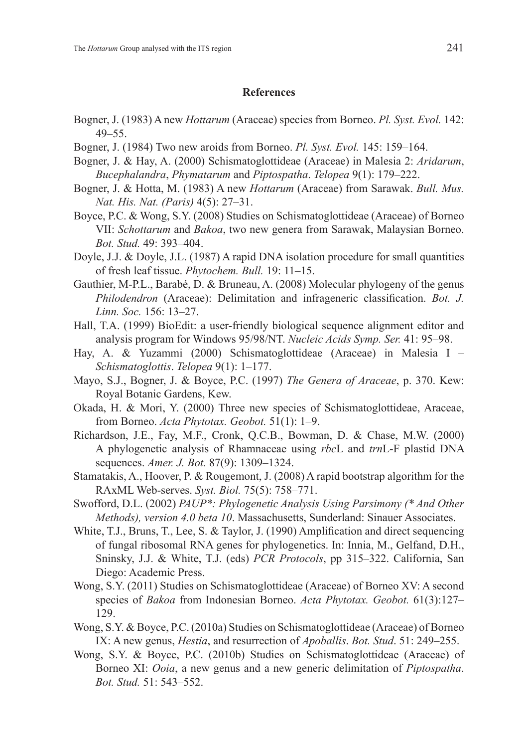# **References**

- Bogner, J. (1983) A new *Hottarum* (Araceae) species from Borneo. *Pl. Syst. Evol.* 142: 49–55.
- Bogner, J. (1984) Two new aroids from Borneo. *Pl. Syst. Evol.* 145: 159–164.
- Bogner, J. & Hay, A. (2000) Schismatoglottideae (Araceae) in Malesia 2: *Aridarum*, *Bucephalandra*, *Phymatarum* and *Piptospatha*. *Telopea* 9(1): 179–222.
- Bogner, J. & Hotta, M. (1983) A new *Hottarum* (Araceae) from Sarawak. *Bull. Mus. Nat. His. Nat. (Paris)* 4(5): 27–31.
- Boyce, P.C. & Wong, S.Y. (2008) Studies on Schismatoglottideae (Araceae) of Borneo VII: *Schottarum* and *Bakoa*, two new genera from Sarawak, Malaysian Borneo. *Bot. Stud.* 49: 393–404.
- Doyle, J.J. & Doyle, J.L. (1987) A rapid DNA isolation procedure for small quantities of fresh leaf tissue. *Phytochem. Bull.* 19: 11–15.
- Gauthier, M-P.L., Barabé, D. & Bruneau, A. (2008) Molecular phylogeny of the genus *Philodendron* (Araceae): Delimitation and infrageneric classification. *Bot. J. Linn. Soc.* 156: 13–27.
- Hall, T.A. (1999) BioEdit: a user-friendly biological sequence alignment editor and analysis program for Windows 95/98/NT. *Nucleic Acids Symp. Ser.* 41: 95–98.
- Hay, A. & Yuzammi (2000) Schismatoglottideae (Araceae) in Malesia I *Schismatoglottis*. *Telopea* 9(1): 1–177.
- Mayo, S.J., Bogner, J. & Boyce, P.C. (1997) *The Genera of Araceae*, p. 370. Kew: Royal Botanic Gardens, Kew.
- Okada, H. & Mori, Y. (2000) Three new species of Schismatoglottideae, Araceae, from Borneo. *Acta Phytotax. Geobot.* 51(1): 1–9.
- Richardson, J.E., Fay, M.F., Cronk, Q.C.B., Bowman, D. & Chase, M.W. (2000) A phylogenetic analysis of Rhamnaceae using *rbc*L and *trn*L-F plastid DNA sequences. *Amer. J. Bot.* 87(9): 1309–1324.
- Stamatakis, A., Hoover, P. & Rougemont, J. (2008) A rapid bootstrap algorithm for the RAxML Web-serves. *Syst. Biol.* 75(5): 758–771.
- Swofford, D.L. (2002) *PAUP\*: Phylogenetic Analysis Using Parsimony (\* And Other Methods), version 4.0 beta 10*. Massachusetts, Sunderland: Sinauer Associates.
- White, T.J., Bruns, T., Lee, S. & Taylor, J. (1990) Amplification and direct sequencing of fungal ribosomal RNA genes for phylogenetics. In: Innia, M., Gelfand, D.H., Sninsky, J.J. & White, T.J. (eds) *PCR Protocols*, pp 315–322. California, San Diego: Academic Press.
- Wong, S.Y. (2011) Studies on Schismatoglottideae (Araceae) of Borneo XV: A second species of *Bakoa* from Indonesian Borneo. *Acta Phytotax. Geobot.* 61(3):127– 129.
- Wong, S.Y. & Boyce, P.C. (2010a) Studies on Schismatoglottideae (Araceae) of Borneo IX: A new genus, *Hestia*, and resurrection of *Apoballis*. *Bot. Stud*. 51: 249–255.
- Wong, S.Y. & Boyce, P.C. (2010b) Studies on Schismatoglottideae (Araceae) of Borneo XI: *Ooia*, a new genus and a new generic delimitation of *Piptospatha*. *Bot. Stud.* 51: 543–552.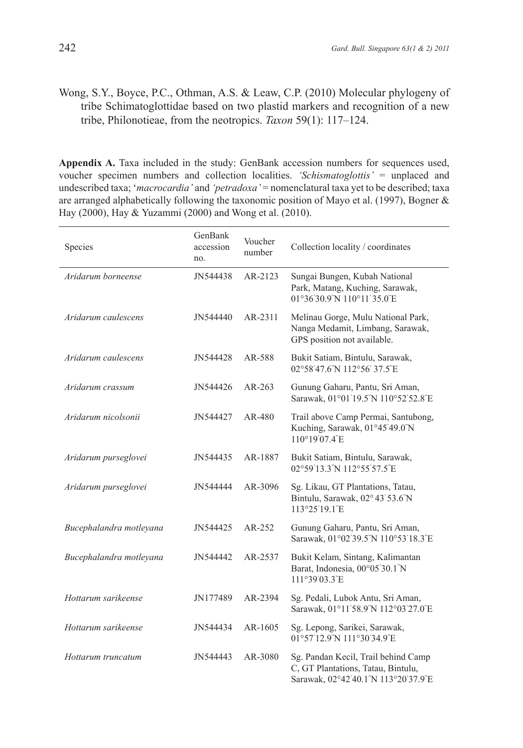# Wong, S.Y., Boyce, P.C., Othman, A.S. & Leaw, C.P. (2010) Molecular phylogeny of tribe Schimatoglottidae based on two plastid markers and recognition of a new tribe, Philonotieae, from the neotropics. *Taxon* 59(1): 117–124.

**Appendix A.** Taxa included in the study: GenBank accession numbers for sequences used, voucher specimen numbers and collection localities. *'Schismatoglottis'* = unplaced and undescribed taxa; '*macrocardia'* and *'petradoxa'* = nomenclatural taxa yet to be described; taxa are arranged alphabetically following the taxonomic position of Mayo et al. (1997), Bogner  $\&$ Hay (2000), Hay & Yuzammi (2000) and Wong et al. (2010).

| Species                 | GenBank<br>accession<br>no. | Voucher<br>number | Collection locality / coordinates                                                                                |
|-------------------------|-----------------------------|-------------------|------------------------------------------------------------------------------------------------------------------|
| Aridarum borneense      | JN544438                    | AR-2123           | Sungai Bungen, Kubah National<br>Park, Matang, Kuching, Sarawak,<br>01°36'30.9"N 110°11'35.0"E                   |
| Aridarum caulescens     | JN544440                    | $AR-2311$         | Melinau Gorge, Mulu National Park,<br>Nanga Medamit, Limbang, Sarawak,<br>GPS position not available.            |
| Aridarum caulescens     | JN544428                    | AR-588            | Bukit Satiam, Bintulu, Sarawak,<br>02°58'47.6"N 112°56' 37.5"E                                                   |
| Aridarum crassum        | JN544426                    | $AR-263$          | Gunung Gaharu, Pantu, Sri Aman,<br>Sarawak, 01°01'19.5"N 110°52'52.8"E                                           |
| Aridarum nicolsonii     | JN544427                    | AR-480            | Trail above Camp Permai, Santubong,<br>Kuching, Sarawak, 01°45'49.0"N<br>110°19'07.4"E                           |
| Aridarum purseglovei    | JN544435                    | AR-1887           | Bukit Satiam, Bintulu, Sarawak,<br>02°59'13.3"N 112°55'57.5"E                                                    |
| Aridarum purseglovei    | JN544444                    | AR-3096           | Sg. Likau, GT Plantations, Tatau,<br>Bintulu, Sarawak, 02° 43' 53.6"N<br>113°25'19.1"E                           |
| Bucephalandra motleyana | JN544425                    | AR-252            | Gunung Gaharu, Pantu, Sri Aman,<br>Sarawak, 01°02'39.5"N 110°53'18.3"E                                           |
| Bucephalandra motleyana | JN544442                    | AR-2537           | Bukit Kelam, Sintang, Kalimantan<br>Barat, Indonesia, 00°05'30.1"N<br>111°39'03.3"E                              |
| Hottarum sarikeense     | JN177489                    | AR-2394           | Sg. Pedali, Lubok Antu, Sri Aman,<br>Sarawak, 01°11'58.9"N 112°03'27.0"E                                         |
| Hottarum sarikeense     | JN544434                    | AR-1605           | Sg. Lepong, Sarikei, Sarawak,<br>01°57'12.9"N 111°30'34.9"E                                                      |
| Hottarum truncatum      | JN544443                    | AR-3080           | Sg. Pandan Kecil, Trail behind Camp<br>C, GT Plantations, Tatau, Bintulu,<br>Sarawak, 02°42'40.1"N 113°20'37.9"E |